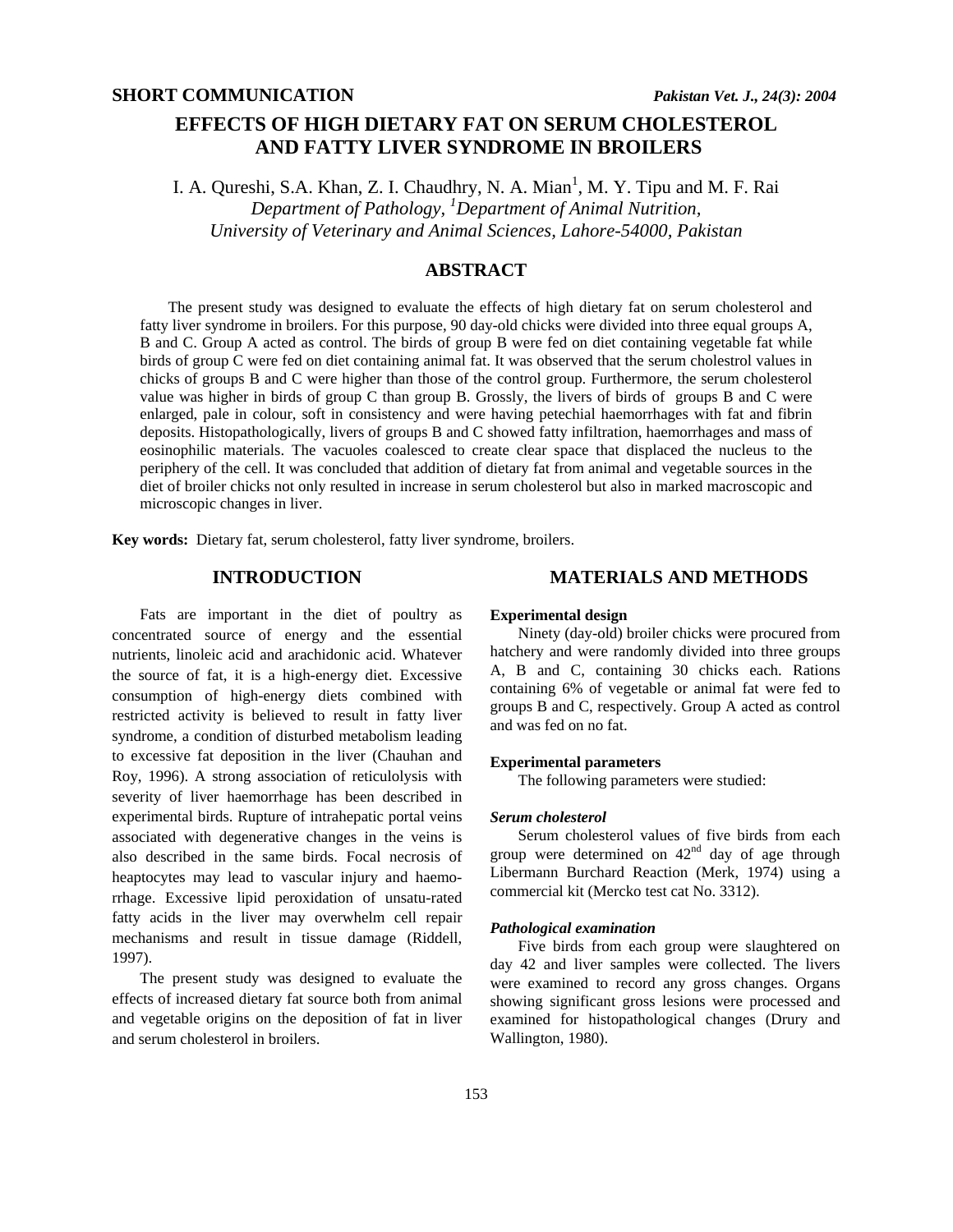# **EFFECTS OF HIGH DIETARY FAT ON SERUM CHOLESTEROL AND FATTY LIVER SYNDROME IN BROILERS**

I. A. Qureshi, S.A. Khan, Z. I. Chaudhry, N. A. Mian<sup>1</sup>, M. Y. Tipu and M. F. Rai *Department of Pathology, 1 Department of Animal Nutrition, University of Veterinary and Animal Sciences, Lahore-54000, Pakistan* 

## **ABSTRACT**

The present study was designed to evaluate the effects of high dietary fat on serum cholesterol and fatty liver syndrome in broilers. For this purpose, 90 day-old chicks were divided into three equal groups A, B and C. Group A acted as control. The birds of group B were fed on diet containing vegetable fat while birds of group C were fed on diet containing animal fat. It was observed that the serum cholestrol values in chicks of groups B and C were higher than those of the control group. Furthermore, the serum cholesterol value was higher in birds of group C than group B. Grossly, the livers of birds of groups B and C were enlarged, pale in colour, soft in consistency and were having petechial haemorrhages with fat and fibrin deposits. Histopathologically, livers of groups B and C showed fatty infiltration, haemorrhages and mass of eosinophilic materials. The vacuoles coalesced to create clear space that displaced the nucleus to the periphery of the cell. It was concluded that addition of dietary fat from animal and vegetable sources in the diet of broiler chicks not only resulted in increase in serum cholesterol but also in marked macroscopic and microscopic changes in liver.

**Key words:** Dietary fat, serum cholesterol, fatty liver syndrome, broilers.

## **INTRODUCTION**

Fats are important in the diet of poultry as concentrated source of energy and the essential nutrients, linoleic acid and arachidonic acid. Whatever the source of fat, it is a high-energy diet. Excessive consumption of high-energy diets combined with restricted activity is believed to result in fatty liver syndrome, a condition of disturbed metabolism leading to excessive fat deposition in the liver (Chauhan and Roy, 1996). A strong association of reticulolysis with severity of liver haemorrhage has been described in experimental birds. Rupture of intrahepatic portal veins associated with degenerative changes in the veins is also described in the same birds. Focal necrosis of heaptocytes may lead to vascular injury and haemorrhage. Excessive lipid peroxidation of unsatu-rated fatty acids in the liver may overwhelm cell repair mechanisms and result in tissue damage (Riddell, 1997).

The present study was designed to evaluate the effects of increased dietary fat source both from animal and vegetable origins on the deposition of fat in liver and serum cholesterol in broilers.

### **MATERIALS AND METHODS**

#### **Experimental design**

Ninety (day-old) broiler chicks were procured from hatchery and were randomly divided into three groups A, B and C, containing 30 chicks each. Rations containing 6% of vegetable or animal fat were fed to groups B and C, respectively. Group A acted as control and was fed on no fat.

#### **Experimental parameters**

The following parameters were studied:

#### *Serum cholesterol*

Serum cholesterol values of five birds from each group were determined on 42nd day of age through Libermann Burchard Reaction (Merk, 1974) using a commercial kit (Mercko test cat No. 3312).

#### *Pathological examination*

Five birds from each group were slaughtered on day 42 and liver samples were collected. The livers were examined to record any gross changes. Organs showing significant gross lesions were processed and examined for histopathological changes (Drury and Wallington, 1980).